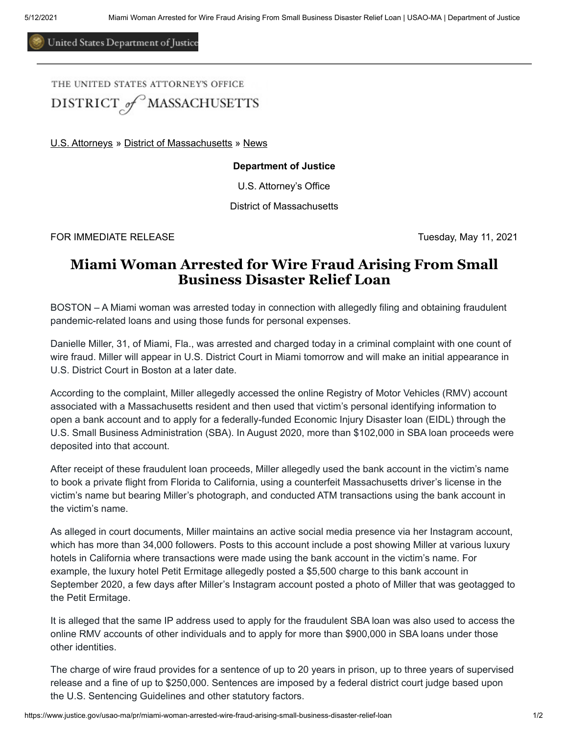United States Department of Justice

THE UNITED STATES ATTORNEYS OFFICE DISTRICT of MASSACHUSETTS

[U.S. Attorneys](https://www.justice.gov/usao) » [District of Massachusetts](https://www.justice.gov/usao-ma) » [News](https://www.justice.gov/usao-ma/pr)

## **Department of Justice**

U.S. Attorney's Office

District of Massachusetts

FOR IMMEDIATE RELEASE Tuesday, May 11, 2021

## **Miami Woman Arrested for Wire Fraud Arising From Small Business Disaster Relief Loan**

BOSTON – A Miami woman was arrested today in connection with allegedly filing and obtaining fraudulent pandemic-related loans and using those funds for personal expenses.

Danielle Miller, 31, of Miami, Fla., was arrested and charged today in a criminal complaint with one count of wire fraud. Miller will appear in U.S. District Court in Miami tomorrow and will make an initial appearance in U.S. District Court in Boston at a later date.

According to the complaint, Miller allegedly accessed the online Registry of Motor Vehicles (RMV) account associated with a Massachusetts resident and then used that victim's personal identifying information to open a bank account and to apply for a federally-funded Economic Injury Disaster loan (EIDL) through the U.S. Small Business Administration (SBA). In August 2020, more than \$102,000 in SBA loan proceeds were deposited into that account.

After receipt of these fraudulent loan proceeds, Miller allegedly used the bank account in the victim's name to book a private flight from Florida to California, using a counterfeit Massachusetts driver's license in the victim's name but bearing Miller's photograph, and conducted ATM transactions using the bank account in the victim's name.

As alleged in court documents, Miller maintains an active social media presence via her Instagram account, which has more than 34,000 followers. Posts to this account include a post showing Miller at various luxury hotels in California where transactions were made using the bank account in the victim's name. For example, the luxury hotel Petit Ermitage allegedly posted a \$5,500 charge to this bank account in September 2020, a few days after Miller's Instagram account posted a photo of Miller that was geotagged to the Petit Ermitage.

It is alleged that the same IP address used to apply for the fraudulent SBA loan was also used to access the online RMV accounts of other individuals and to apply for more than \$900,000 in SBA loans under those other identities.

The charge of wire fraud provides for a sentence of up to 20 years in prison, up to three years of supervised release and a fine of up to \$250,000. Sentences are imposed by a federal district court judge based upon the U.S. Sentencing Guidelines and other statutory factors.